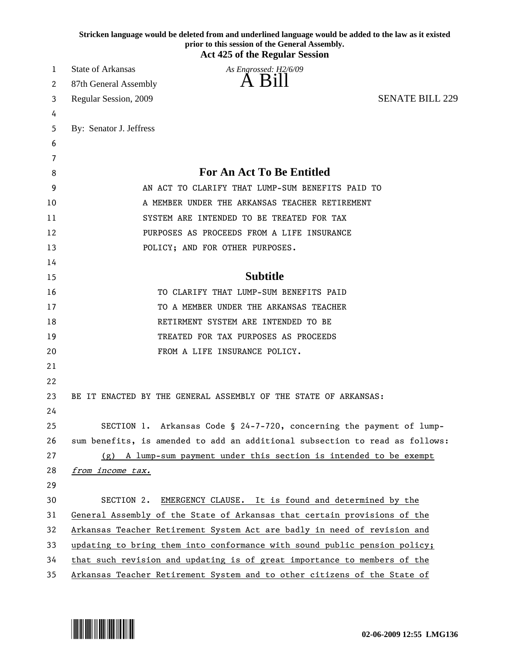|    | Stricken language would be deleted from and underlined language would be added to the law as it existed<br>prior to this session of the General Assembly.<br><b>Act 425 of the Regular Session</b> |
|----|----------------------------------------------------------------------------------------------------------------------------------------------------------------------------------------------------|
| 1  | <b>State of Arkansas</b><br>As Engrossed: H2/6/09                                                                                                                                                  |
| 2  | A Bill<br>87th General Assembly                                                                                                                                                                    |
| 3  | <b>SENATE BILL 229</b><br>Regular Session, 2009                                                                                                                                                    |
| 4  |                                                                                                                                                                                                    |
| 5  | By: Senator J. Jeffress                                                                                                                                                                            |
| 6  |                                                                                                                                                                                                    |
| 7  |                                                                                                                                                                                                    |
| 8  | <b>For An Act To Be Entitled</b>                                                                                                                                                                   |
| 9  | AN ACT TO CLARIFY THAT LUMP-SUM BENEFITS PAID TO                                                                                                                                                   |
| 10 | A MEMBER UNDER THE ARKANSAS TEACHER RETIREMENT                                                                                                                                                     |
| 11 | SYSTEM ARE INTENDED TO BE TREATED FOR TAX                                                                                                                                                          |
| 12 | PURPOSES AS PROCEEDS FROM A LIFE INSURANCE                                                                                                                                                         |
| 13 | POLICY; AND FOR OTHER PURPOSES.                                                                                                                                                                    |
| 14 |                                                                                                                                                                                                    |
| 15 | <b>Subtitle</b>                                                                                                                                                                                    |
| 16 | TO CLARIFY THAT LUMP-SUM BENEFITS PAID                                                                                                                                                             |
| 17 | TO A MEMBER UNDER THE ARKANSAS TEACHER                                                                                                                                                             |
| 18 | RETIRMENT SYSTEM ARE INTENDED TO BE                                                                                                                                                                |
| 19 | TREATED FOR TAX PURPOSES AS PROCEEDS                                                                                                                                                               |
| 20 | FROM A LIFE INSURANCE POLICY.                                                                                                                                                                      |
| 21 |                                                                                                                                                                                                    |
| 22 |                                                                                                                                                                                                    |
| 23 | BE IT ENACTED BY THE GENERAL ASSEMBLY OF THE STATE OF ARKANSAS:                                                                                                                                    |
| 24 |                                                                                                                                                                                                    |
| 25 | SECTION 1. Arkansas Code § 24-7-720, concerning the payment of lump-                                                                                                                               |
| 26 | sum benefits, is amended to add an additional subsection to read as follows:                                                                                                                       |
| 27 | $(g)$ A lump-sum payment under this section is intended to be exempt                                                                                                                               |
| 28 | from income tax.                                                                                                                                                                                   |
| 29 |                                                                                                                                                                                                    |
| 30 | SECTION 2.<br>EMERGENCY CLAUSE. It is found and determined by the                                                                                                                                  |
| 31 | General Assembly of the State of Arkansas that certain provisions of the                                                                                                                           |
| 32 | Arkansas Teacher Retirement System Act are badly in need of revision and                                                                                                                           |
| 33 | updating to bring them into conformance with sound public pension policy;                                                                                                                          |
| 34 | that such revision and updating is of great importance to members of the                                                                                                                           |
| 35 | Arkansas Teacher Retirement System and to other citizens of the State of                                                                                                                           |